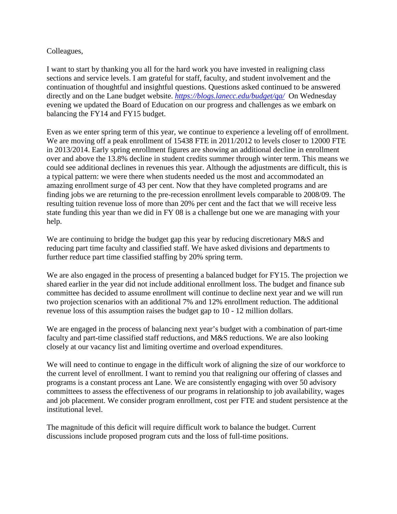## Colleagues,

I want to start by thanking you all for the hard work you have invested in realigning class sections and service levels. I am grateful for staff, faculty, and student involvement and the continuation of thoughtful and insightful questions. Questions asked continued to be answered directly and on the Lane budget website. *<https://blogs.lanecc.edu/budget/qa/>* On Wednesday evening we updated the Board of Education on our progress and challenges as we embark on balancing the FY14 and FY15 budget.

Even as we enter spring term of this year, we continue to experience a leveling off of enrollment. We are moving off a peak enrollment of 15438 FTE in 2011/2012 to levels closer to 12000 FTE in 2013/2014. Early spring enrollment figures are showing an additional decline in enrollment over and above the 13.8% decline in student credits summer through winter term. This means we could see additional declines in revenues this year. Although the adjustments are difficult, this is a typical pattern: we were there when students needed us the most and accommodated an amazing enrollment surge of 43 per cent. Now that they have completed programs and are finding jobs we are returning to the pre-recession enrollment levels comparable to 2008/09. The resulting tuition revenue loss of more than 20% per cent and the fact that we will receive less state funding this year than we did in FY 08 is a challenge but one we are managing with your help.

We are continuing to bridge the budget gap this year by reducing discretionary M&S and reducing part time faculty and classified staff. We have asked divisions and departments to further reduce part time classified staffing by 20% spring term.

We are also engaged in the process of presenting a balanced budget for FY15. The projection we shared earlier in the year did not include additional enrollment loss. The budget and finance sub committee has decided to assume enrollment will continue to decline next year and we will run two projection scenarios with an additional 7% and 12% enrollment reduction. The additional revenue loss of this assumption raises the budget gap to 10 - 12 million dollars.

We are engaged in the process of balancing next year's budget with a combination of part-time faculty and part-time classified staff reductions, and M&S reductions. We are also looking closely at our vacancy list and limiting overtime and overload expenditures.

We will need to continue to engage in the difficult work of aligning the size of our workforce to the current level of enrollment. I want to remind you that realigning our offering of classes and programs is a constant process ant Lane. We are consistently engaging with over 50 advisory committees to assess the effectiveness of our programs in relationship to job availability, wages and job placement. We consider program enrollment, cost per FTE and student persistence at the institutional level.

The magnitude of this deficit will require difficult work to balance the budget. Current discussions include proposed program cuts and the loss of full-time positions.